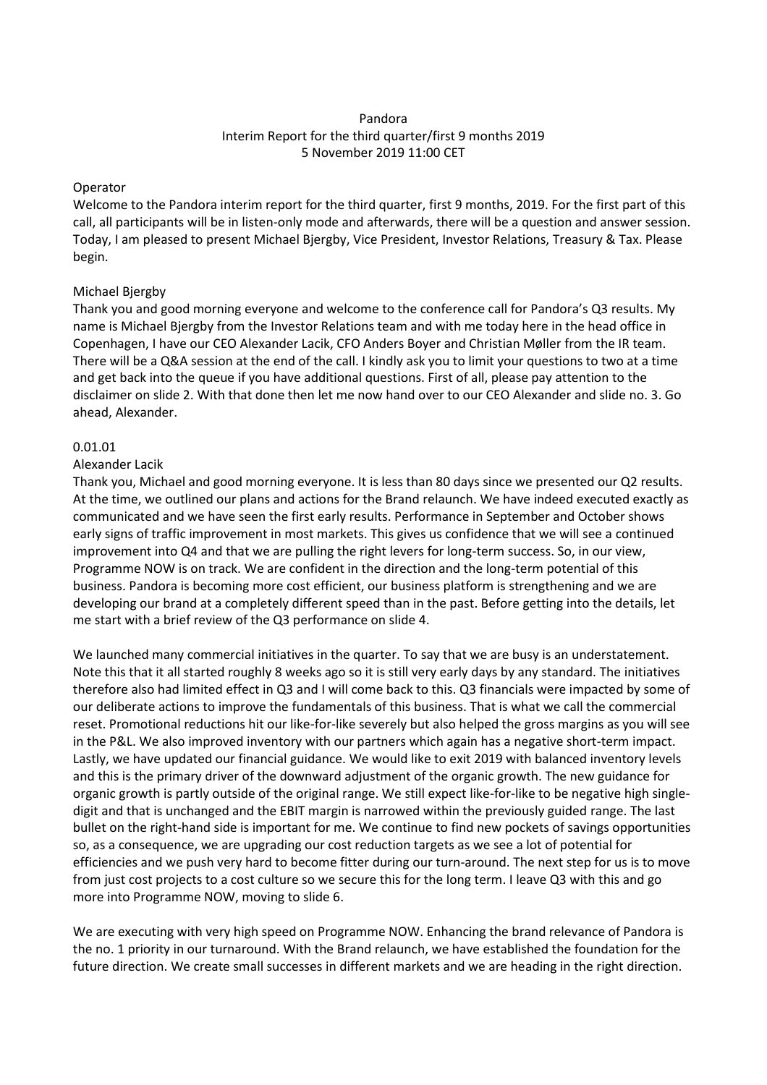# Pandora Interim Report for the third quarter/first 9 months 2019 5 November 2019 11:00 CET

## Operator

Welcome to the Pandora interim report for the third quarter, first 9 months, 2019. For the first part of this call, all participants will be in listen-only mode and afterwards, there will be a question and answer session. Today, I am pleased to present Michael Bjergby, Vice President, Investor Relations, Treasury & Tax. Please begin.

# Michael Bjergby

Thank you and good morning everyone and welcome to the conference call for Pandora's Q3 results. My name is Michael Bjergby from the Investor Relations team and with me today here in the head office in Copenhagen, I have our CEO Alexander Lacik, CFO Anders Boyer and Christian Møller from the IR team. There will be a Q&A session at the end of the call. I kindly ask you to limit your questions to two at a time and get back into the queue if you have additional questions. First of all, please pay attention to the disclaimer on slide 2. With that done then let me now hand over to our CEO Alexander and slide no. 3. Go ahead, Alexander.

## 0.01.01

# Alexander Lacik

Thank you, Michael and good morning everyone. It is less than 80 days since we presented our Q2 results. At the time, we outlined our plans and actions for the Brand relaunch. We have indeed executed exactly as communicated and we have seen the first early results. Performance in September and October shows early signs of traffic improvement in most markets. This gives us confidence that we will see a continued improvement into Q4 and that we are pulling the right levers for long-term success. So, in our view, Programme NOW is on track. We are confident in the direction and the long-term potential of this business. Pandora is becoming more cost efficient, our business platform is strengthening and we are developing our brand at a completely different speed than in the past. Before getting into the details, let me start with a brief review of the Q3 performance on slide 4.

We launched many commercial initiatives in the quarter. To say that we are busy is an understatement. Note this that it all started roughly 8 weeks ago so it is still very early days by any standard. The initiatives therefore also had limited effect in Q3 and I will come back to this. Q3 financials were impacted by some of our deliberate actions to improve the fundamentals of this business. That is what we call the commercial reset. Promotional reductions hit our like-for-like severely but also helped the gross margins as you will see in the P&L. We also improved inventory with our partners which again has a negative short-term impact. Lastly, we have updated our financial guidance. We would like to exit 2019 with balanced inventory levels and this is the primary driver of the downward adjustment of the organic growth. The new guidance for organic growth is partly outside of the original range. We still expect like-for-like to be negative high singledigit and that is unchanged and the EBIT margin is narrowed within the previously guided range. The last bullet on the right-hand side is important for me. We continue to find new pockets of savings opportunities so, as a consequence, we are upgrading our cost reduction targets as we see a lot of potential for efficiencies and we push very hard to become fitter during our turn-around. The next step for us is to move from just cost projects to a cost culture so we secure this for the long term. I leave Q3 with this and go more into Programme NOW, moving to slide 6.

We are executing with very high speed on Programme NOW. Enhancing the brand relevance of Pandora is the no. 1 priority in our turnaround. With the Brand relaunch, we have established the foundation for the future direction. We create small successes in different markets and we are heading in the right direction.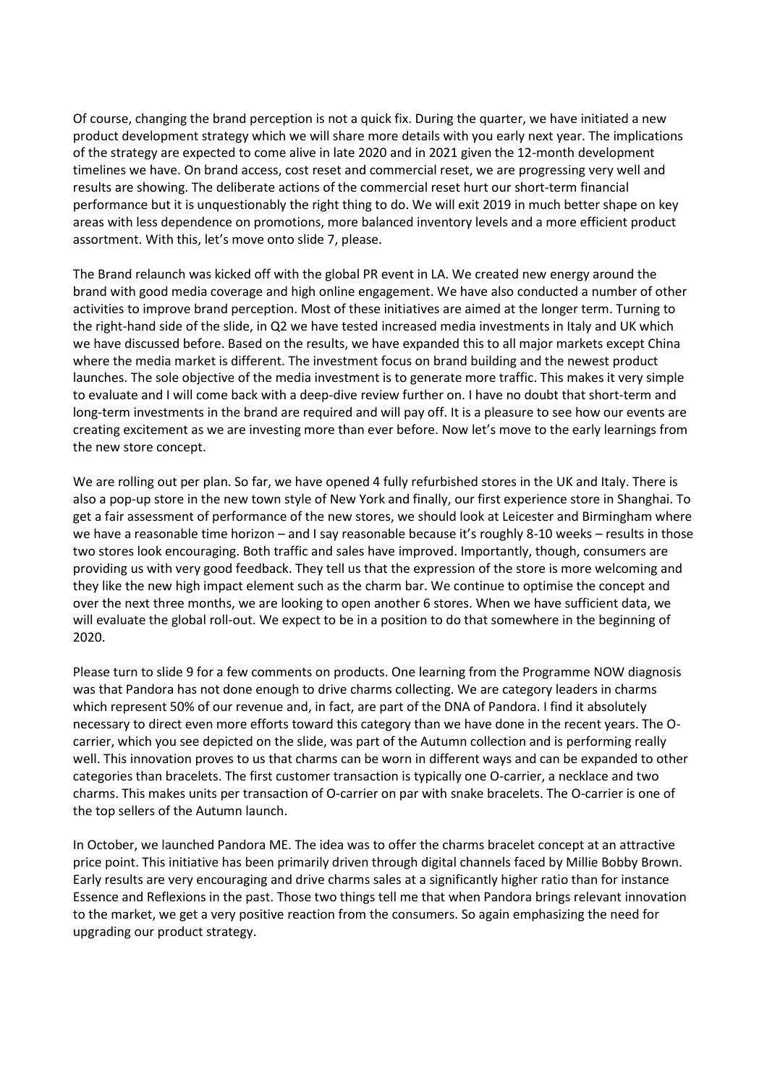Of course, changing the brand perception is not a quick fix. During the quarter, we have initiated a new product development strategy which we will share more details with you early next year. The implications of the strategy are expected to come alive in late 2020 and in 2021 given the 12-month development timelines we have. On brand access, cost reset and commercial reset, we are progressing very well and results are showing. The deliberate actions of the commercial reset hurt our short-term financial performance but it is unquestionably the right thing to do. We will exit 2019 in much better shape on key areas with less dependence on promotions, more balanced inventory levels and a more efficient product assortment. With this, let's move onto slide 7, please.

The Brand relaunch was kicked off with the global PR event in LA. We created new energy around the brand with good media coverage and high online engagement. We have also conducted a number of other activities to improve brand perception. Most of these initiatives are aimed at the longer term. Turning to the right-hand side of the slide, in Q2 we have tested increased media investments in Italy and UK which we have discussed before. Based on the results, we have expanded this to all major markets except China where the media market is different. The investment focus on brand building and the newest product launches. The sole objective of the media investment is to generate more traffic. This makes it very simple to evaluate and I will come back with a deep-dive review further on. I have no doubt that short-term and long-term investments in the brand are required and will pay off. It is a pleasure to see how our events are creating excitement as we are investing more than ever before. Now let's move to the early learnings from the new store concept.

We are rolling out per plan. So far, we have opened 4 fully refurbished stores in the UK and Italy. There is also a pop-up store in the new town style of New York and finally, our first experience store in Shanghai. To get a fair assessment of performance of the new stores, we should look at Leicester and Birmingham where we have a reasonable time horizon – and I say reasonable because it's roughly 8-10 weeks – results in those two stores look encouraging. Both traffic and sales have improved. Importantly, though, consumers are providing us with very good feedback. They tell us that the expression of the store is more welcoming and they like the new high impact element such as the charm bar. We continue to optimise the concept and over the next three months, we are looking to open another 6 stores. When we have sufficient data, we will evaluate the global roll-out. We expect to be in a position to do that somewhere in the beginning of 2020.

Please turn to slide 9 for a few comments on products. One learning from the Programme NOW diagnosis was that Pandora has not done enough to drive charms collecting. We are category leaders in charms which represent 50% of our revenue and, in fact, are part of the DNA of Pandora. I find it absolutely necessary to direct even more efforts toward this category than we have done in the recent years. The Ocarrier, which you see depicted on the slide, was part of the Autumn collection and is performing really well. This innovation proves to us that charms can be worn in different ways and can be expanded to other categories than bracelets. The first customer transaction is typically one O-carrier, a necklace and two charms. This makes units per transaction of O-carrier on par with snake bracelets. The O-carrier is one of the top sellers of the Autumn launch.

In October, we launched Pandora ME. The idea was to offer the charms bracelet concept at an attractive price point. This initiative has been primarily driven through digital channels faced by Millie Bobby Brown. Early results are very encouraging and drive charms sales at a significantly higher ratio than for instance Essence and Reflexions in the past. Those two things tell me that when Pandora brings relevant innovation to the market, we get a very positive reaction from the consumers. So again emphasizing the need for upgrading our product strategy.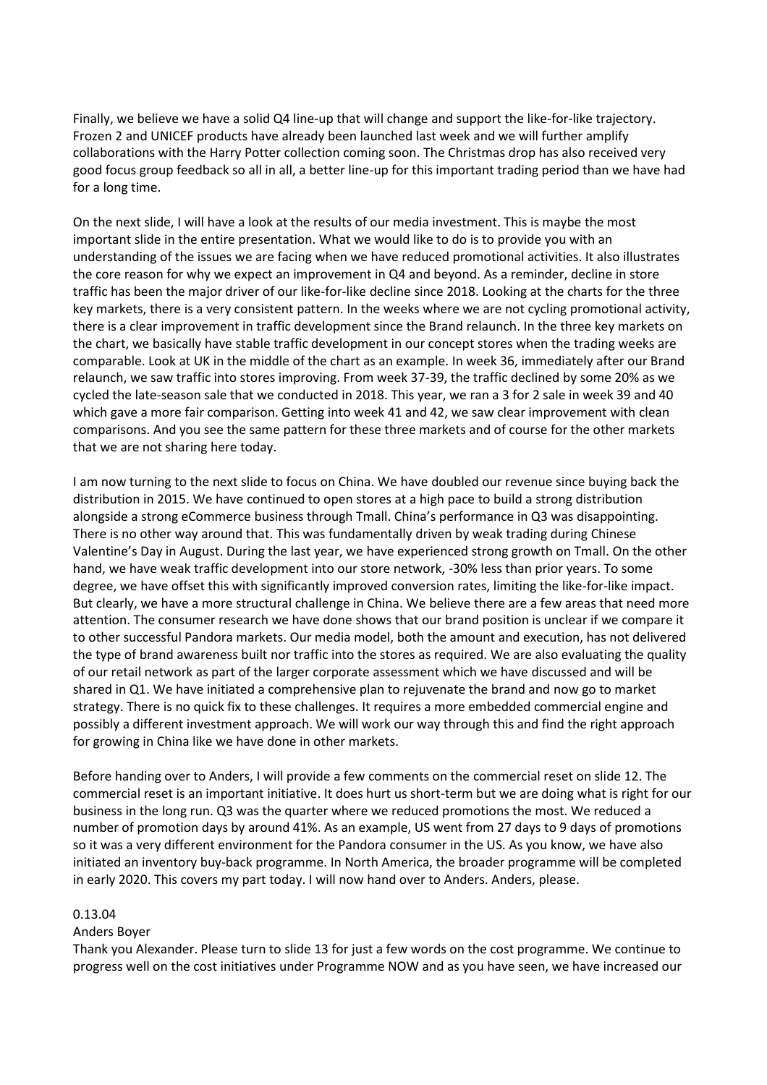Finally, we believe we have a solid Q4 line-up that will change and support the like-for-like trajectory. Frozen 2 and UNICEF products have already been launched last week and we will further amplify collaborations with the Harry Potter collection coming soon. The Christmas drop has also received very good focus group feedback so all in all, a better line-up for this important trading period than we have had for a long time.

On the next slide, I will have a look at the results of our media investment. This is maybe the most important slide in the entire presentation. What we would like to do is to provide you with an understanding of the issues we are facing when we have reduced promotional activities. It also illustrates the core reason for why we expect an improvement in Q4 and beyond. As a reminder, decline in store traffic has been the major driver of our like-for-like decline since 2018. Looking at the charts for the three key markets, there is a very consistent pattern. In the weeks where we are not cycling promotional activity, there is a clear improvement in traffic development since the Brand relaunch. In the three key markets on the chart, we basically have stable traffic development in our concept stores when the trading weeks are comparable. Look at UK in the middle of the chart as an example. In week 36, immediately after our Brand relaunch, we saw traffic into stores improving. From week 37-39, the traffic declined by some 20% as we cycled the late-season sale that we conducted in 2018. This year, we ran a 3 for 2 sale in week 39 and 40 which gave a more fair comparison. Getting into week 41 and 42, we saw clear improvement with clean comparisons. And you see the same pattern for these three markets and of course for the other markets that we are not sharing here today.

I am now turning to the next slide to focus on China. We have doubled our revenue since buying back the distribution in 2015. We have continued to open stores at a high pace to build a strong distribution alongside a strong eCommerce business through Tmall. China's performance in Q3 was disappointing. There is no other way around that. This was fundamentally driven by weak trading during Chinese Valentine's Day in August. During the last year, we have experienced strong growth on Tmall. On the other hand, we have weak traffic development into our store network, -30% less than prior years. To some degree, we have offset this with significantly improved conversion rates, limiting the like-for-like impact. But clearly, we have a more structural challenge in China. We believe there are a few areas that need more attention. The consumer research we have done shows that our brand position is unclear if we compare it to other successful Pandora markets. Our media model, both the amount and execution, has not delivered the type of brand awareness built nor traffic into the stores as required. We are also evaluating the quality of our retail network as part of the larger corporate assessment which we have discussed and will be shared in Q1. We have initiated a comprehensive plan to rejuvenate the brand and now go to market strategy. There is no quick fix to these challenges. It requires a more embedded commercial engine and possibly a different investment approach. We will work our way through this and find the right approach for growing in China like we have done in other markets.

Before handing over to Anders, I will provide a few comments on the commercial reset on slide 12. The commercial reset is an important initiative. It does hurt us short-term but we are doing what is right for our business in the long run. Q3 was the quarter where we reduced promotions the most. We reduced a number of promotion days by around 41%. As an example, US went from 27 days to 9 days of promotions so it was a very different environment for the Pandora consumer in the US. As you know, we have also initiated an inventory buy-back programme. In North America, the broader programme will be completed in early 2020. This covers my part today. I will now hand over to Anders. Anders, please.

#### 0.13.04

#### Anders Boyer

Thank you Alexander. Please turn to slide 13 for just a few words on the cost programme. We continue to progress well on the cost initiatives under Programme NOW and as you have seen, we have increased our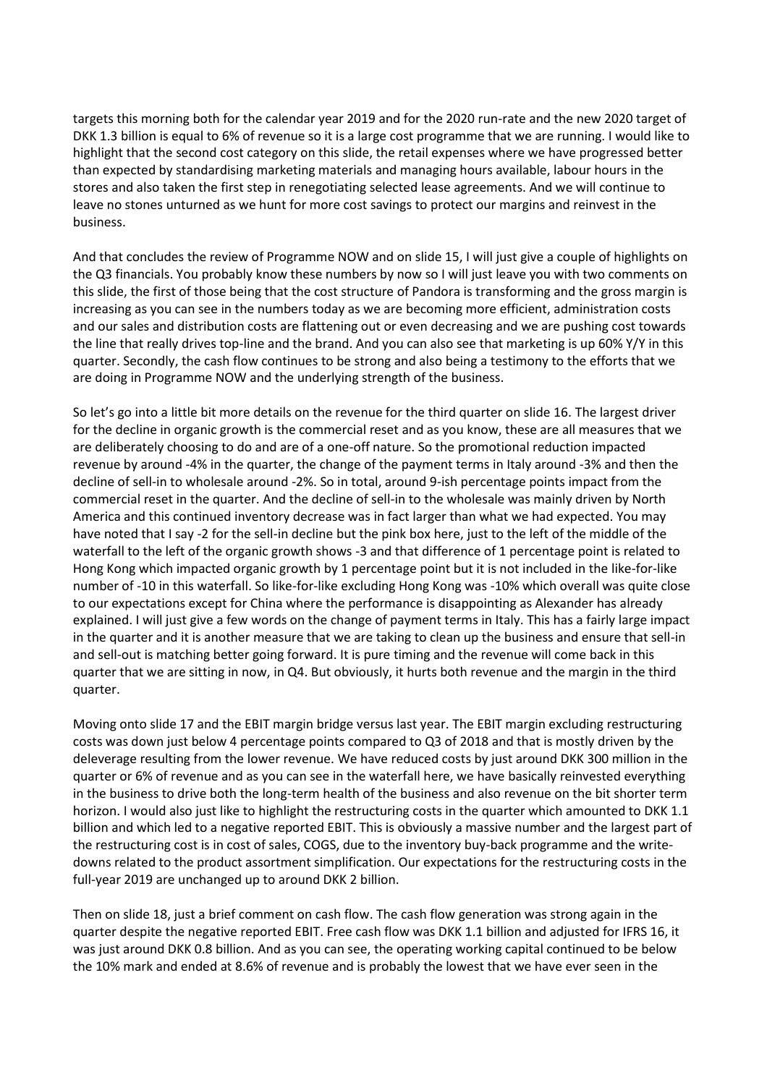targets this morning both for the calendar year 2019 and for the 2020 run-rate and the new 2020 target of DKK 1.3 billion is equal to 6% of revenue so it is a large cost programme that we are running. I would like to highlight that the second cost category on this slide, the retail expenses where we have progressed better than expected by standardising marketing materials and managing hours available, labour hours in the stores and also taken the first step in renegotiating selected lease agreements. And we will continue to leave no stones unturned as we hunt for more cost savings to protect our margins and reinvest in the business.

And that concludes the review of Programme NOW and on slide 15, I will just give a couple of highlights on the Q3 financials. You probably know these numbers by now so I will just leave you with two comments on this slide, the first of those being that the cost structure of Pandora is transforming and the gross margin is increasing as you can see in the numbers today as we are becoming more efficient, administration costs and our sales and distribution costs are flattening out or even decreasing and we are pushing cost towards the line that really drives top-line and the brand. And you can also see that marketing is up 60% Y/Y in this quarter. Secondly, the cash flow continues to be strong and also being a testimony to the efforts that we are doing in Programme NOW and the underlying strength of the business.

So let's go into a little bit more details on the revenue for the third quarter on slide 16. The largest driver for the decline in organic growth is the commercial reset and as you know, these are all measures that we are deliberately choosing to do and are of a one-off nature. So the promotional reduction impacted revenue by around -4% in the quarter, the change of the payment terms in Italy around -3% and then the decline of sell-in to wholesale around -2%. So in total, around 9-ish percentage points impact from the commercial reset in the quarter. And the decline of sell-in to the wholesale was mainly driven by North America and this continued inventory decrease was in fact larger than what we had expected. You may have noted that I say -2 for the sell-in decline but the pink box here, just to the left of the middle of the waterfall to the left of the organic growth shows -3 and that difference of 1 percentage point is related to Hong Kong which impacted organic growth by 1 percentage point but it is not included in the like-for-like number of -10 in this waterfall. So like-for-like excluding Hong Kong was -10% which overall was quite close to our expectations except for China where the performance is disappointing as Alexander has already explained. I will just give a few words on the change of payment terms in Italy. This has a fairly large impact in the quarter and it is another measure that we are taking to clean up the business and ensure that sell-in and sell-out is matching better going forward. It is pure timing and the revenue will come back in this quarter that we are sitting in now, in Q4. But obviously, it hurts both revenue and the margin in the third quarter.

Moving onto slide 17 and the EBIT margin bridge versus last year. The EBIT margin excluding restructuring costs was down just below 4 percentage points compared to Q3 of 2018 and that is mostly driven by the deleverage resulting from the lower revenue. We have reduced costs by just around DKK 300 million in the quarter or 6% of revenue and as you can see in the waterfall here, we have basically reinvested everything in the business to drive both the long-term health of the business and also revenue on the bit shorter term horizon. I would also just like to highlight the restructuring costs in the quarter which amounted to DKK 1.1 billion and which led to a negative reported EBIT. This is obviously a massive number and the largest part of the restructuring cost is in cost of sales, COGS, due to the inventory buy-back programme and the writedowns related to the product assortment simplification. Our expectations for the restructuring costs in the full-year 2019 are unchanged up to around DKK 2 billion.

Then on slide 18, just a brief comment on cash flow. The cash flow generation was strong again in the quarter despite the negative reported EBIT. Free cash flow was DKK 1.1 billion and adjusted for IFRS 16, it was just around DKK 0.8 billion. And as you can see, the operating working capital continued to be below the 10% mark and ended at 8.6% of revenue and is probably the lowest that we have ever seen in the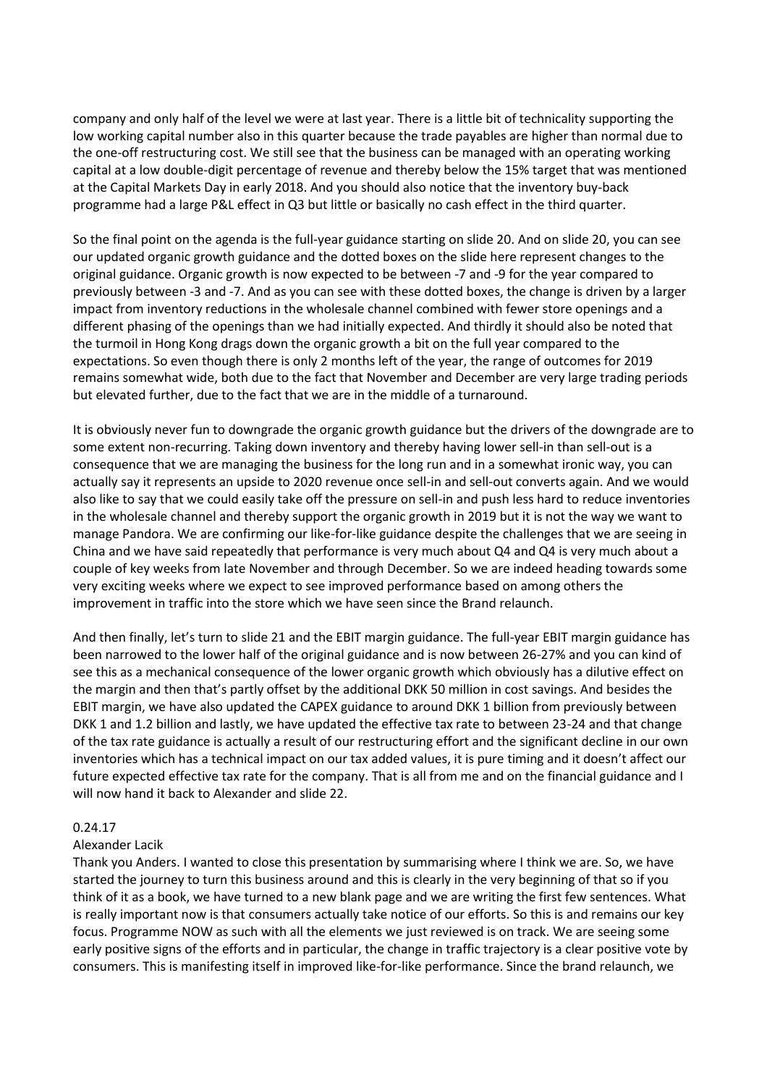company and only half of the level we were at last year. There is a little bit of technicality supporting the low working capital number also in this quarter because the trade payables are higher than normal due to the one-off restructuring cost. We still see that the business can be managed with an operating working capital at a low double-digit percentage of revenue and thereby below the 15% target that was mentioned at the Capital Markets Day in early 2018. And you should also notice that the inventory buy-back programme had a large P&L effect in Q3 but little or basically no cash effect in the third quarter.

So the final point on the agenda is the full-year guidance starting on slide 20. And on slide 20, you can see our updated organic growth guidance and the dotted boxes on the slide here represent changes to the original guidance. Organic growth is now expected to be between -7 and -9 for the year compared to previously between -3 and -7. And as you can see with these dotted boxes, the change is driven by a larger impact from inventory reductions in the wholesale channel combined with fewer store openings and a different phasing of the openings than we had initially expected. And thirdly it should also be noted that the turmoil in Hong Kong drags down the organic growth a bit on the full year compared to the expectations. So even though there is only 2 months left of the year, the range of outcomes for 2019 remains somewhat wide, both due to the fact that November and December are very large trading periods but elevated further, due to the fact that we are in the middle of a turnaround.

It is obviously never fun to downgrade the organic growth guidance but the drivers of the downgrade are to some extent non-recurring. Taking down inventory and thereby having lower sell-in than sell-out is a consequence that we are managing the business for the long run and in a somewhat ironic way, you can actually say it represents an upside to 2020 revenue once sell-in and sell-out converts again. And we would also like to say that we could easily take off the pressure on sell-in and push less hard to reduce inventories in the wholesale channel and thereby support the organic growth in 2019 but it is not the way we want to manage Pandora. We are confirming our like-for-like guidance despite the challenges that we are seeing in China and we have said repeatedly that performance is very much about Q4 and Q4 is very much about a couple of key weeks from late November and through December. So we are indeed heading towards some very exciting weeks where we expect to see improved performance based on among others the improvement in traffic into the store which we have seen since the Brand relaunch.

And then finally, let's turn to slide 21 and the EBIT margin guidance. The full-year EBIT margin guidance has been narrowed to the lower half of the original guidance and is now between 26-27% and you can kind of see this as a mechanical consequence of the lower organic growth which obviously has a dilutive effect on the margin and then that's partly offset by the additional DKK 50 million in cost savings. And besides the EBIT margin, we have also updated the CAPEX guidance to around DKK 1 billion from previously between DKK 1 and 1.2 billion and lastly, we have updated the effective tax rate to between 23-24 and that change of the tax rate guidance is actually a result of our restructuring effort and the significant decline in our own inventories which has a technical impact on our tax added values, it is pure timing and it doesn't affect our future expected effective tax rate for the company. That is all from me and on the financial guidance and I will now hand it back to Alexander and slide 22.

## 0.24.17

#### Alexander Lacik

Thank you Anders. I wanted to close this presentation by summarising where I think we are. So, we have started the journey to turn this business around and this is clearly in the very beginning of that so if you think of it as a book, we have turned to a new blank page and we are writing the first few sentences. What is really important now is that consumers actually take notice of our efforts. So this is and remains our key focus. Programme NOW as such with all the elements we just reviewed is on track. We are seeing some early positive signs of the efforts and in particular, the change in traffic trajectory is a clear positive vote by consumers. This is manifesting itself in improved like-for-like performance. Since the brand relaunch, we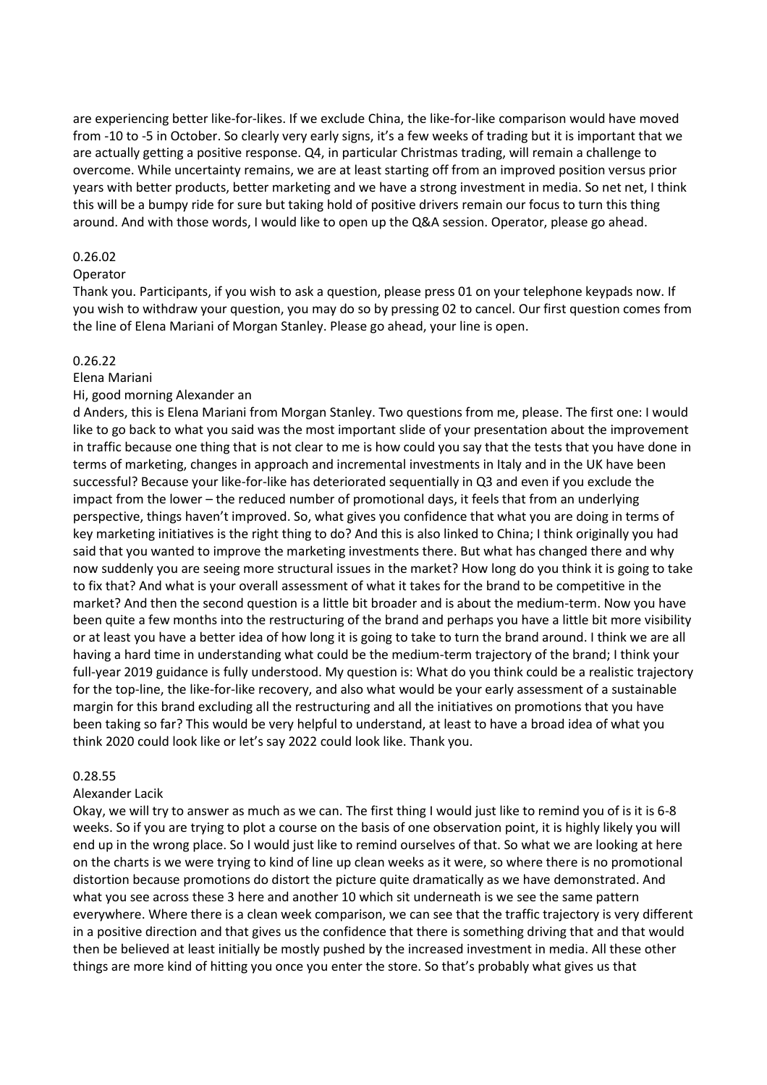are experiencing better like-for-likes. If we exclude China, the like-for-like comparison would have moved from -10 to -5 in October. So clearly very early signs, it's a few weeks of trading but it is important that we are actually getting a positive response. Q4, in particular Christmas trading, will remain a challenge to overcome. While uncertainty remains, we are at least starting off from an improved position versus prior years with better products, better marketing and we have a strong investment in media. So net net, I think this will be a bumpy ride for sure but taking hold of positive drivers remain our focus to turn this thing around. And with those words, I would like to open up the Q&A session. Operator, please go ahead.

#### 0.26.02

#### Operator

Thank you. Participants, if you wish to ask a question, please press 01 on your telephone keypads now. If you wish to withdraw your question, you may do so by pressing 02 to cancel. Our first question comes from the line of Elena Mariani of Morgan Stanley. Please go ahead, your line is open.

#### 0.26.22

#### Elena Mariani

#### Hi, good morning Alexander an

d Anders, this is Elena Mariani from Morgan Stanley. Two questions from me, please. The first one: I would like to go back to what you said was the most important slide of your presentation about the improvement in traffic because one thing that is not clear to me is how could you say that the tests that you have done in terms of marketing, changes in approach and incremental investments in Italy and in the UK have been successful? Because your like-for-like has deteriorated sequentially in Q3 and even if you exclude the impact from the lower – the reduced number of promotional days, it feels that from an underlying perspective, things haven't improved. So, what gives you confidence that what you are doing in terms of key marketing initiatives is the right thing to do? And this is also linked to China; I think originally you had said that you wanted to improve the marketing investments there. But what has changed there and why now suddenly you are seeing more structural issues in the market? How long do you think it is going to take to fix that? And what is your overall assessment of what it takes for the brand to be competitive in the market? And then the second question is a little bit broader and is about the medium-term. Now you have been quite a few months into the restructuring of the brand and perhaps you have a little bit more visibility or at least you have a better idea of how long it is going to take to turn the brand around. I think we are all having a hard time in understanding what could be the medium-term trajectory of the brand; I think your full-year 2019 guidance is fully understood. My question is: What do you think could be a realistic trajectory for the top-line, the like-for-like recovery, and also what would be your early assessment of a sustainable margin for this brand excluding all the restructuring and all the initiatives on promotions that you have been taking so far? This would be very helpful to understand, at least to have a broad idea of what you think 2020 could look like or let's say 2022 could look like. Thank you.

## 0.28.55

## Alexander Lacik

Okay, we will try to answer as much as we can. The first thing I would just like to remind you of is it is 6-8 weeks. So if you are trying to plot a course on the basis of one observation point, it is highly likely you will end up in the wrong place. So I would just like to remind ourselves of that. So what we are looking at here on the charts is we were trying to kind of line up clean weeks as it were, so where there is no promotional distortion because promotions do distort the picture quite dramatically as we have demonstrated. And what you see across these 3 here and another 10 which sit underneath is we see the same pattern everywhere. Where there is a clean week comparison, we can see that the traffic trajectory is very different in a positive direction and that gives us the confidence that there is something driving that and that would then be believed at least initially be mostly pushed by the increased investment in media. All these other things are more kind of hitting you once you enter the store. So that's probably what gives us that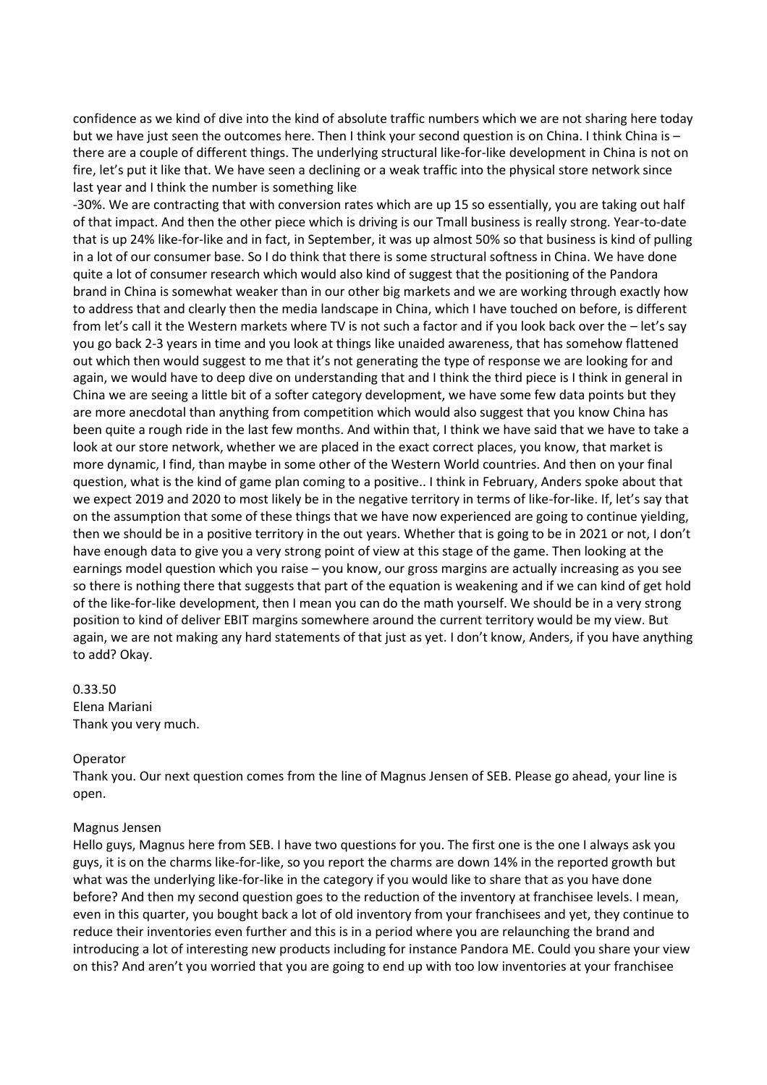confidence as we kind of dive into the kind of absolute traffic numbers which we are not sharing here today but we have just seen the outcomes here. Then I think your second question is on China. I think China is – there are a couple of different things. The underlying structural like-for-like development in China is not on fire, let's put it like that. We have seen a declining or a weak traffic into the physical store network since last year and I think the number is something like

-30%. We are contracting that with conversion rates which are up 15 so essentially, you are taking out half of that impact. And then the other piece which is driving is our Tmall business is really strong. Year-to-date that is up 24% like-for-like and in fact, in September, it was up almost 50% so that business is kind of pulling in a lot of our consumer base. So I do think that there is some structural softness in China. We have done quite a lot of consumer research which would also kind of suggest that the positioning of the Pandora brand in China is somewhat weaker than in our other big markets and we are working through exactly how to address that and clearly then the media landscape in China, which I have touched on before, is different from let's call it the Western markets where TV is not such a factor and if you look back over the – let's say you go back 2-3 years in time and you look at things like unaided awareness, that has somehow flattened out which then would suggest to me that it's not generating the type of response we are looking for and again, we would have to deep dive on understanding that and I think the third piece is I think in general in China we are seeing a little bit of a softer category development, we have some few data points but they are more anecdotal than anything from competition which would also suggest that you know China has been quite a rough ride in the last few months. And within that, I think we have said that we have to take a look at our store network, whether we are placed in the exact correct places, you know, that market is more dynamic, I find, than maybe in some other of the Western World countries. And then on your final question, what is the kind of game plan coming to a positive.. I think in February, Anders spoke about that we expect 2019 and 2020 to most likely be in the negative territory in terms of like-for-like. If, let's say that on the assumption that some of these things that we have now experienced are going to continue yielding, then we should be in a positive territory in the out years. Whether that is going to be in 2021 or not, I don't have enough data to give you a very strong point of view at this stage of the game. Then looking at the earnings model question which you raise – you know, our gross margins are actually increasing as you see so there is nothing there that suggests that part of the equation is weakening and if we can kind of get hold of the like-for-like development, then I mean you can do the math yourself. We should be in a very strong position to kind of deliver EBIT margins somewhere around the current territory would be my view. But again, we are not making any hard statements of that just as yet. I don't know, Anders, if you have anything to add? Okay.

# 0.33.50 Elena Mariani Thank you very much.

#### Operator

Thank you. Our next question comes from the line of Magnus Jensen of SEB. Please go ahead, your line is open.

#### Magnus Jensen

Hello guys, Magnus here from SEB. I have two questions for you. The first one is the one I always ask you guys, it is on the charms like-for-like, so you report the charms are down 14% in the reported growth but what was the underlying like-for-like in the category if you would like to share that as you have done before? And then my second question goes to the reduction of the inventory at franchisee levels. I mean, even in this quarter, you bought back a lot of old inventory from your franchisees and yet, they continue to reduce their inventories even further and this is in a period where you are relaunching the brand and introducing a lot of interesting new products including for instance Pandora ME. Could you share your view on this? And aren't you worried that you are going to end up with too low inventories at your franchisee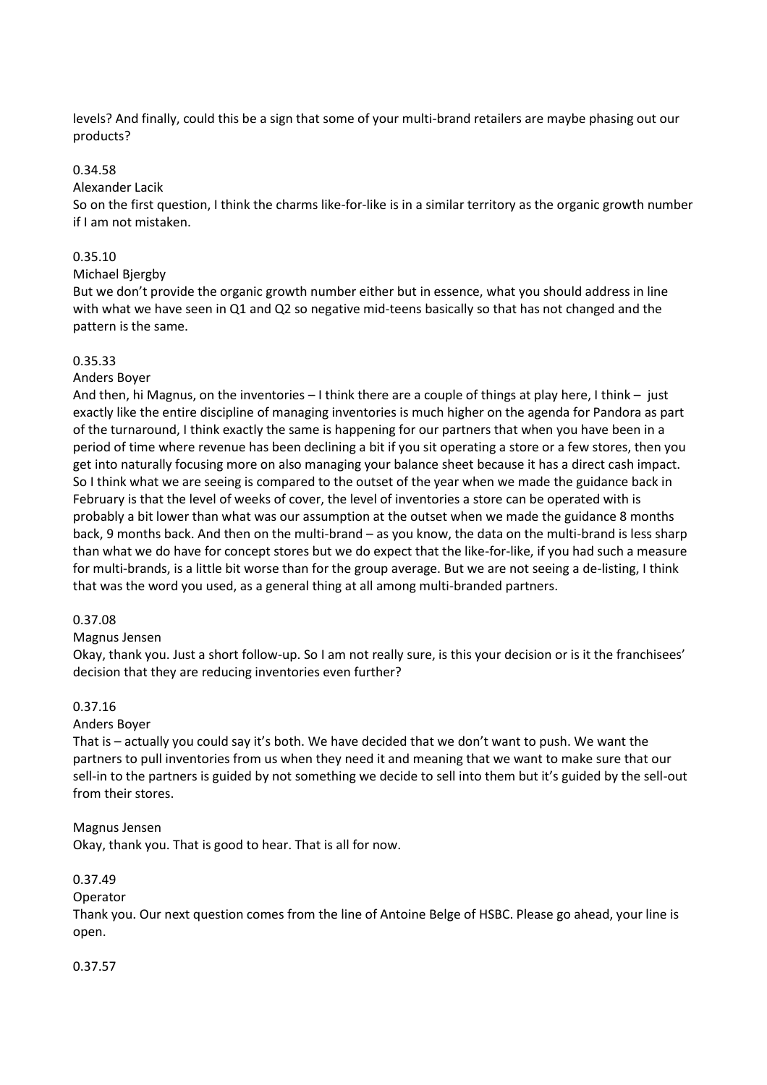levels? And finally, could this be a sign that some of your multi-brand retailers are maybe phasing out our products?

## 0.34.58

Alexander Lacik

So on the first question, I think the charms like-for-like is in a similar territory as the organic growth number if I am not mistaken.

# 0.35.10

Michael Bjergby

But we don't provide the organic growth number either but in essence, what you should address in line with what we have seen in Q1 and Q2 so negative mid-teens basically so that has not changed and the pattern is the same.

# 0.35.33

# Anders Boyer

And then, hi Magnus, on the inventories – I think there are a couple of things at play here, I think – just exactly like the entire discipline of managing inventories is much higher on the agenda for Pandora as part of the turnaround, I think exactly the same is happening for our partners that when you have been in a period of time where revenue has been declining a bit if you sit operating a store or a few stores, then you get into naturally focusing more on also managing your balance sheet because it has a direct cash impact. So I think what we are seeing is compared to the outset of the year when we made the guidance back in February is that the level of weeks of cover, the level of inventories a store can be operated with is probably a bit lower than what was our assumption at the outset when we made the guidance 8 months back, 9 months back. And then on the multi-brand – as you know, the data on the multi-brand is less sharp than what we do have for concept stores but we do expect that the like-for-like, if you had such a measure for multi-brands, is a little bit worse than for the group average. But we are not seeing a de-listing, I think that was the word you used, as a general thing at all among multi-branded partners.

## 0.37.08

## Magnus Jensen

Okay, thank you. Just a short follow-up. So I am not really sure, is this your decision or is it the franchisees' decision that they are reducing inventories even further?

# 0.37.16

# Anders Boyer

That is – actually you could say it's both. We have decided that we don't want to push. We want the partners to pull inventories from us when they need it and meaning that we want to make sure that our sell-in to the partners is guided by not something we decide to sell into them but it's guided by the sell-out from their stores.

## Magnus Jensen

Okay, thank you. That is good to hear. That is all for now.

## 0.37.49

## Operator

Thank you. Our next question comes from the line of Antoine Belge of HSBC. Please go ahead, your line is open.

## 0.37.57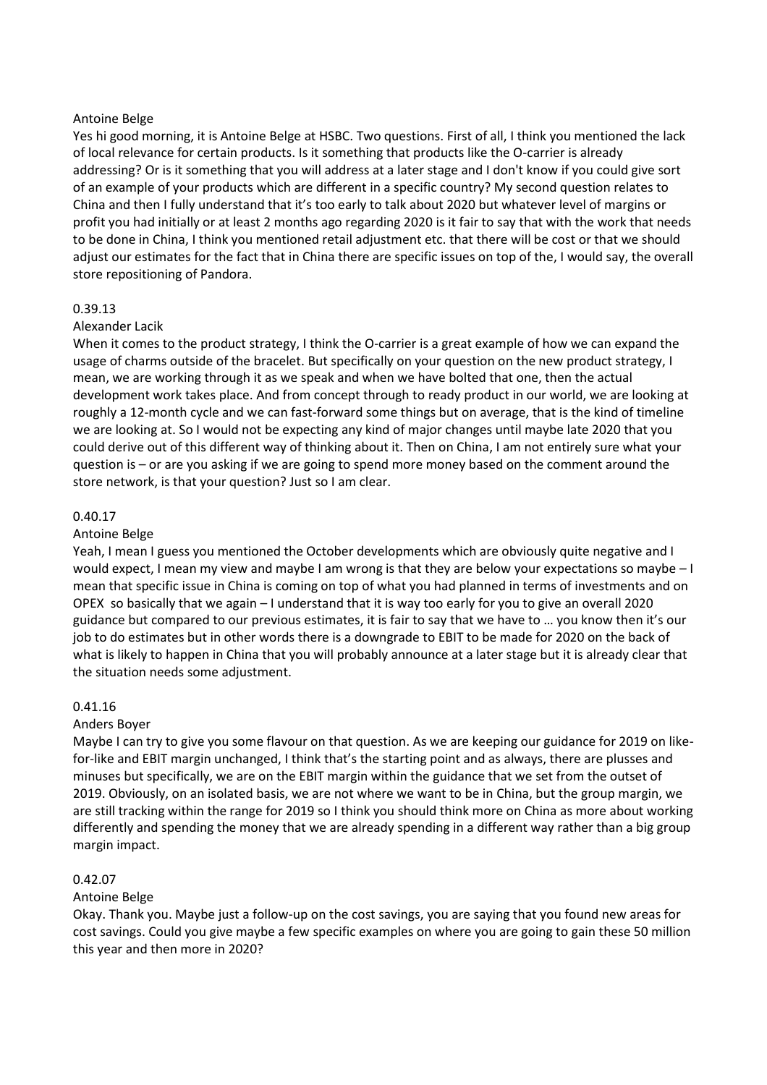## Antoine Belge

Yes hi good morning, it is Antoine Belge at HSBC. Two questions. First of all, I think you mentioned the lack of local relevance for certain products. Is it something that products like the O-carrier is already addressing? Or is it something that you will address at a later stage and I don't know if you could give sort of an example of your products which are different in a specific country? My second question relates to China and then I fully understand that it's too early to talk about 2020 but whatever level of margins or profit you had initially or at least 2 months ago regarding 2020 is it fair to say that with the work that needs to be done in China, I think you mentioned retail adjustment etc. that there will be cost or that we should adjust our estimates for the fact that in China there are specific issues on top of the, I would say, the overall store repositioning of Pandora.

# 0.39.13

# Alexander Lacik

When it comes to the product strategy, I think the O-carrier is a great example of how we can expand the usage of charms outside of the bracelet. But specifically on your question on the new product strategy, I mean, we are working through it as we speak and when we have bolted that one, then the actual development work takes place. And from concept through to ready product in our world, we are looking at roughly a 12-month cycle and we can fast-forward some things but on average, that is the kind of timeline we are looking at. So I would not be expecting any kind of major changes until maybe late 2020 that you could derive out of this different way of thinking about it. Then on China, I am not entirely sure what your question is – or are you asking if we are going to spend more money based on the comment around the store network, is that your question? Just so I am clear.

# 0.40.17

## Antoine Belge

Yeah, I mean I guess you mentioned the October developments which are obviously quite negative and I would expect, I mean my view and maybe I am wrong is that they are below your expectations so maybe – I mean that specific issue in China is coming on top of what you had planned in terms of investments and on OPEX so basically that we again – I understand that it is way too early for you to give an overall 2020 guidance but compared to our previous estimates, it is fair to say that we have to … you know then it's our job to do estimates but in other words there is a downgrade to EBIT to be made for 2020 on the back of what is likely to happen in China that you will probably announce at a later stage but it is already clear that the situation needs some adjustment.

## 0.41.16

## Anders Boyer

Maybe I can try to give you some flavour on that question. As we are keeping our guidance for 2019 on likefor-like and EBIT margin unchanged, I think that's the starting point and as always, there are plusses and minuses but specifically, we are on the EBIT margin within the guidance that we set from the outset of 2019. Obviously, on an isolated basis, we are not where we want to be in China, but the group margin, we are still tracking within the range for 2019 so I think you should think more on China as more about working differently and spending the money that we are already spending in a different way rather than a big group margin impact.

## 0.42.07

## Antoine Belge

Okay. Thank you. Maybe just a follow-up on the cost savings, you are saying that you found new areas for cost savings. Could you give maybe a few specific examples on where you are going to gain these 50 million this year and then more in 2020?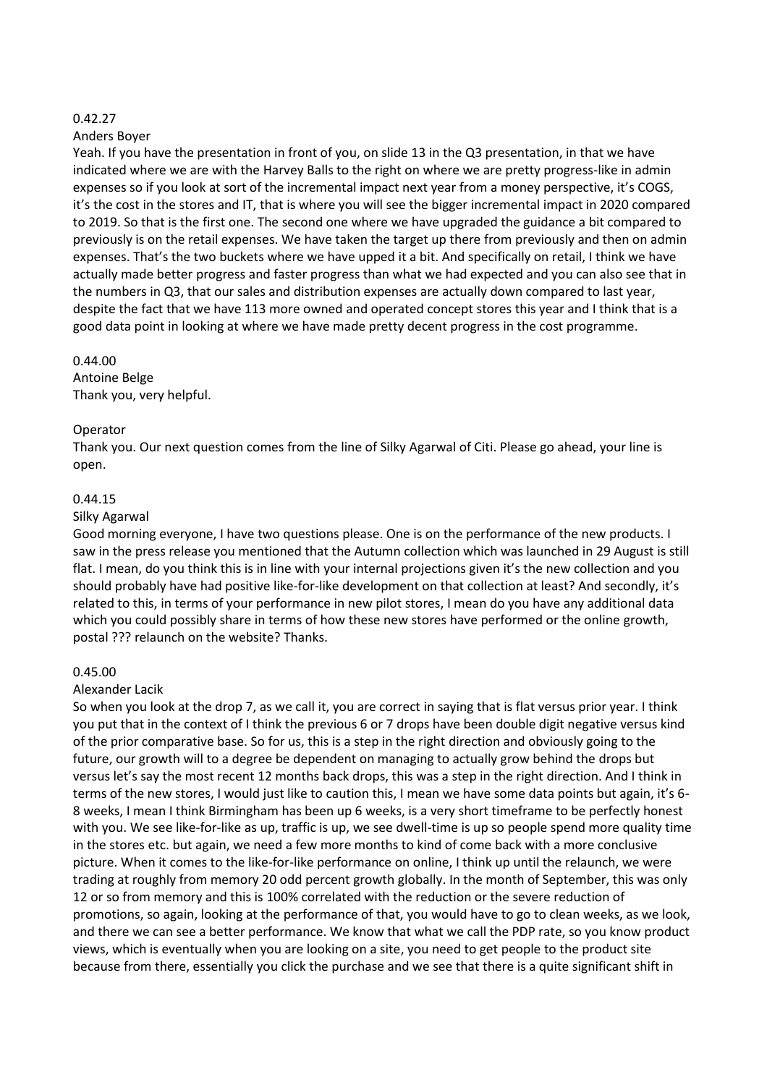#### 0.42.27

#### Anders Boyer

Yeah. If you have the presentation in front of you, on slide 13 in the Q3 presentation, in that we have indicated where we are with the Harvey Balls to the right on where we are pretty progress-like in admin expenses so if you look at sort of the incremental impact next year from a money perspective, it's COGS, it's the cost in the stores and IT, that is where you will see the bigger incremental impact in 2020 compared to 2019. So that is the first one. The second one where we have upgraded the guidance a bit compared to previously is on the retail expenses. We have taken the target up there from previously and then on admin expenses. That's the two buckets where we have upped it a bit. And specifically on retail, I think we have actually made better progress and faster progress than what we had expected and you can also see that in the numbers in Q3, that our sales and distribution expenses are actually down compared to last year, despite the fact that we have 113 more owned and operated concept stores this year and I think that is a good data point in looking at where we have made pretty decent progress in the cost programme.

#### 0.44.00

Antoine Belge Thank you, very helpful.

## Operator

Thank you. Our next question comes from the line of Silky Agarwal of Citi. Please go ahead, your line is open.

## 0.44.15

#### Silky Agarwal

Good morning everyone, I have two questions please. One is on the performance of the new products. I saw in the press release you mentioned that the Autumn collection which was launched in 29 August is still flat. I mean, do you think this is in line with your internal projections given it's the new collection and you should probably have had positive like-for-like development on that collection at least? And secondly, it's related to this, in terms of your performance in new pilot stores, I mean do you have any additional data which you could possibly share in terms of how these new stores have performed or the online growth, postal ??? relaunch on the website? Thanks.

## 0.45.00

#### Alexander Lacik

So when you look at the drop 7, as we call it, you are correct in saying that is flat versus prior year. I think you put that in the context of I think the previous 6 or 7 drops have been double digit negative versus kind of the prior comparative base. So for us, this is a step in the right direction and obviously going to the future, our growth will to a degree be dependent on managing to actually grow behind the drops but versus let's say the most recent 12 months back drops, this was a step in the right direction. And I think in terms of the new stores, I would just like to caution this, I mean we have some data points but again, it's 6- 8 weeks, I mean I think Birmingham has been up 6 weeks, is a very short timeframe to be perfectly honest with you. We see like-for-like as up, traffic is up, we see dwell-time is up so people spend more quality time in the stores etc. but again, we need a few more months to kind of come back with a more conclusive picture. When it comes to the like-for-like performance on online, I think up until the relaunch, we were trading at roughly from memory 20 odd percent growth globally. In the month of September, this was only 12 or so from memory and this is 100% correlated with the reduction or the severe reduction of promotions, so again, looking at the performance of that, you would have to go to clean weeks, as we look, and there we can see a better performance. We know that what we call the PDP rate, so you know product views, which is eventually when you are looking on a site, you need to get people to the product site because from there, essentially you click the purchase and we see that there is a quite significant shift in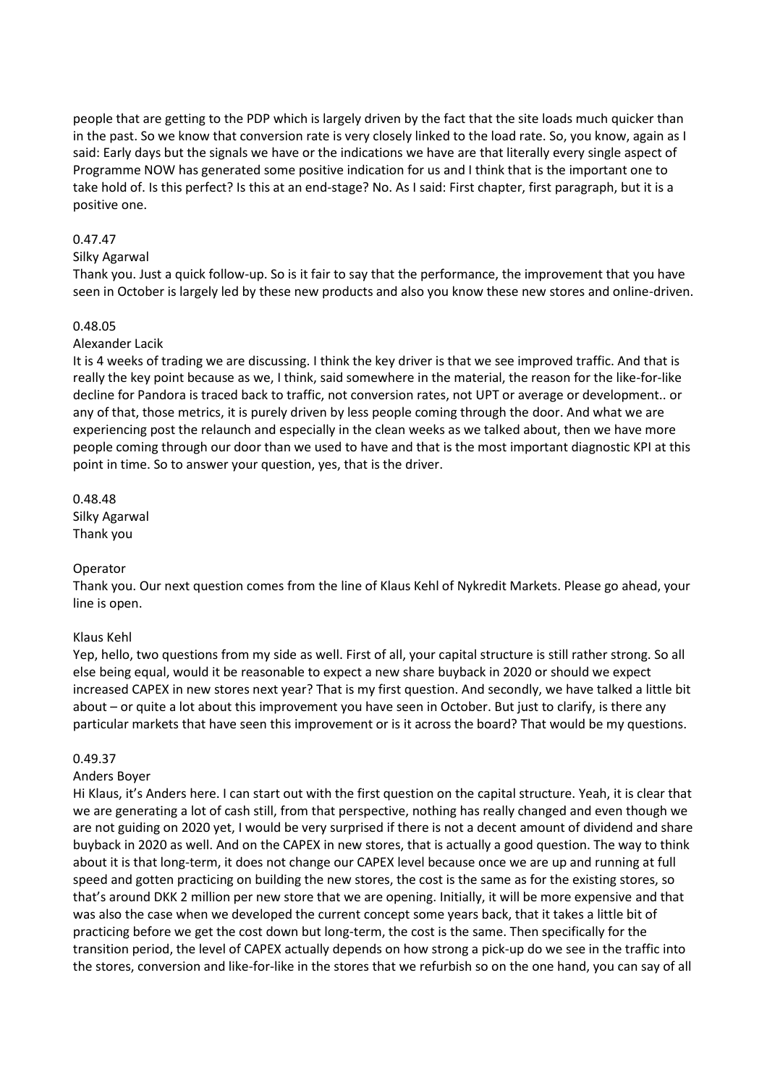people that are getting to the PDP which is largely driven by the fact that the site loads much quicker than in the past. So we know that conversion rate is very closely linked to the load rate. So, you know, again as I said: Early days but the signals we have or the indications we have are that literally every single aspect of Programme NOW has generated some positive indication for us and I think that is the important one to take hold of. Is this perfect? Is this at an end-stage? No. As I said: First chapter, first paragraph, but it is a positive one.

## 0.47.47

## Silky Agarwal

Thank you. Just a quick follow-up. So is it fair to say that the performance, the improvement that you have seen in October is largely led by these new products and also you know these new stores and online-driven.

# 0.48.05

## Alexander Lacik

It is 4 weeks of trading we are discussing. I think the key driver is that we see improved traffic. And that is really the key point because as we, I think, said somewhere in the material, the reason for the like-for-like decline for Pandora is traced back to traffic, not conversion rates, not UPT or average or development.. or any of that, those metrics, it is purely driven by less people coming through the door. And what we are experiencing post the relaunch and especially in the clean weeks as we talked about, then we have more people coming through our door than we used to have and that is the most important diagnostic KPI at this point in time. So to answer your question, yes, that is the driver.

0.48.48 Silky Agarwal Thank you

## Operator

Thank you. Our next question comes from the line of Klaus Kehl of Nykredit Markets. Please go ahead, your line is open.

## Klaus Kehl

Yep, hello, two questions from my side as well. First of all, your capital structure is still rather strong. So all else being equal, would it be reasonable to expect a new share buyback in 2020 or should we expect increased CAPEX in new stores next year? That is my first question. And secondly, we have talked a little bit about – or quite a lot about this improvement you have seen in October. But just to clarify, is there any particular markets that have seen this improvement or is it across the board? That would be my questions.

## 0.49.37

## Anders Boyer

Hi Klaus, it's Anders here. I can start out with the first question on the capital structure. Yeah, it is clear that we are generating a lot of cash still, from that perspective, nothing has really changed and even though we are not guiding on 2020 yet, I would be very surprised if there is not a decent amount of dividend and share buyback in 2020 as well. And on the CAPEX in new stores, that is actually a good question. The way to think about it is that long-term, it does not change our CAPEX level because once we are up and running at full speed and gotten practicing on building the new stores, the cost is the same as for the existing stores, so that's around DKK 2 million per new store that we are opening. Initially, it will be more expensive and that was also the case when we developed the current concept some years back, that it takes a little bit of practicing before we get the cost down but long-term, the cost is the same. Then specifically for the transition period, the level of CAPEX actually depends on how strong a pick-up do we see in the traffic into the stores, conversion and like-for-like in the stores that we refurbish so on the one hand, you can say of all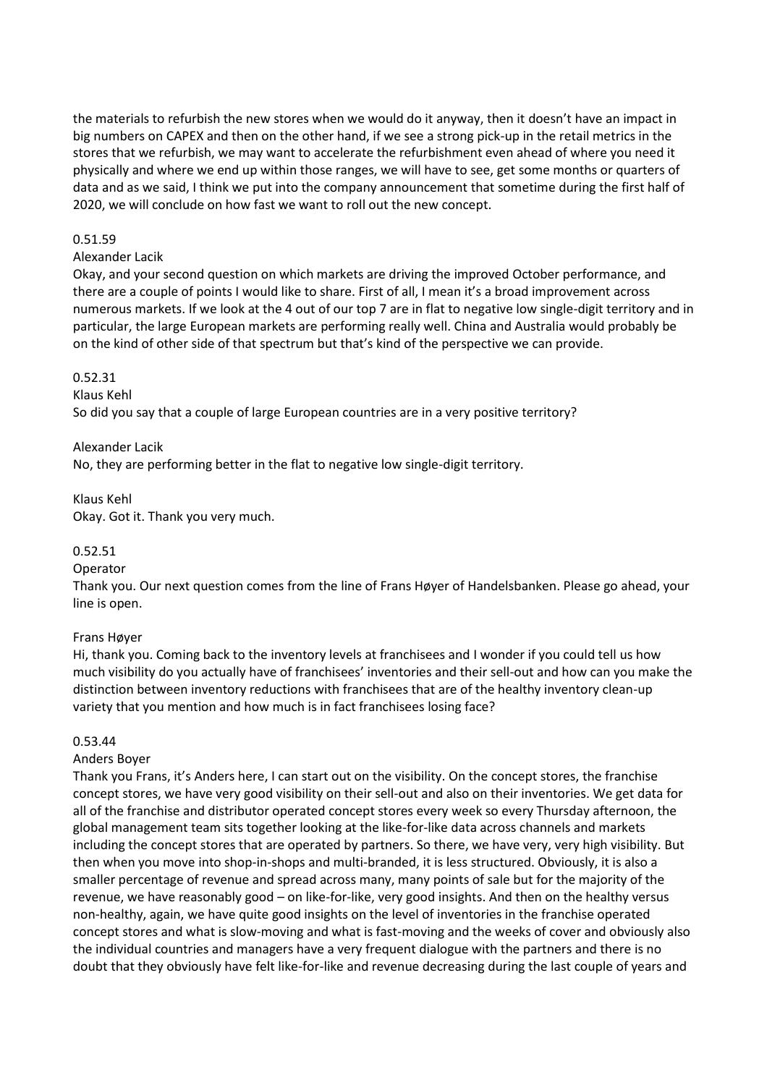the materials to refurbish the new stores when we would do it anyway, then it doesn't have an impact in big numbers on CAPEX and then on the other hand, if we see a strong pick-up in the retail metrics in the stores that we refurbish, we may want to accelerate the refurbishment even ahead of where you need it physically and where we end up within those ranges, we will have to see, get some months or quarters of data and as we said, I think we put into the company announcement that sometime during the first half of 2020, we will conclude on how fast we want to roll out the new concept.

## 0.51.59

#### Alexander Lacik

Okay, and your second question on which markets are driving the improved October performance, and there are a couple of points I would like to share. First of all, I mean it's a broad improvement across numerous markets. If we look at the 4 out of our top 7 are in flat to negative low single-digit territory and in particular, the large European markets are performing really well. China and Australia would probably be on the kind of other side of that spectrum but that's kind of the perspective we can provide.

#### 0.52.31

#### Klaus Kehl

So did you say that a couple of large European countries are in a very positive territory?

#### Alexander Lacik

No, they are performing better in the flat to negative low single-digit territory.

# Klaus Kehl Okay. Got it. Thank you very much.

## 0.52.51

## Operator

Thank you. Our next question comes from the line of Frans Høyer of Handelsbanken. Please go ahead, your line is open.

## Frans Høyer

Hi, thank you. Coming back to the inventory levels at franchisees and I wonder if you could tell us how much visibility do you actually have of franchisees' inventories and their sell-out and how can you make the distinction between inventory reductions with franchisees that are of the healthy inventory clean-up variety that you mention and how much is in fact franchisees losing face?

## 0.53.44

## Anders Boyer

Thank you Frans, it's Anders here, I can start out on the visibility. On the concept stores, the franchise concept stores, we have very good visibility on their sell-out and also on their inventories. We get data for all of the franchise and distributor operated concept stores every week so every Thursday afternoon, the global management team sits together looking at the like-for-like data across channels and markets including the concept stores that are operated by partners. So there, we have very, very high visibility. But then when you move into shop-in-shops and multi-branded, it is less structured. Obviously, it is also a smaller percentage of revenue and spread across many, many points of sale but for the majority of the revenue, we have reasonably good – on like-for-like, very good insights. And then on the healthy versus non-healthy, again, we have quite good insights on the level of inventories in the franchise operated concept stores and what is slow-moving and what is fast-moving and the weeks of cover and obviously also the individual countries and managers have a very frequent dialogue with the partners and there is no doubt that they obviously have felt like-for-like and revenue decreasing during the last couple of years and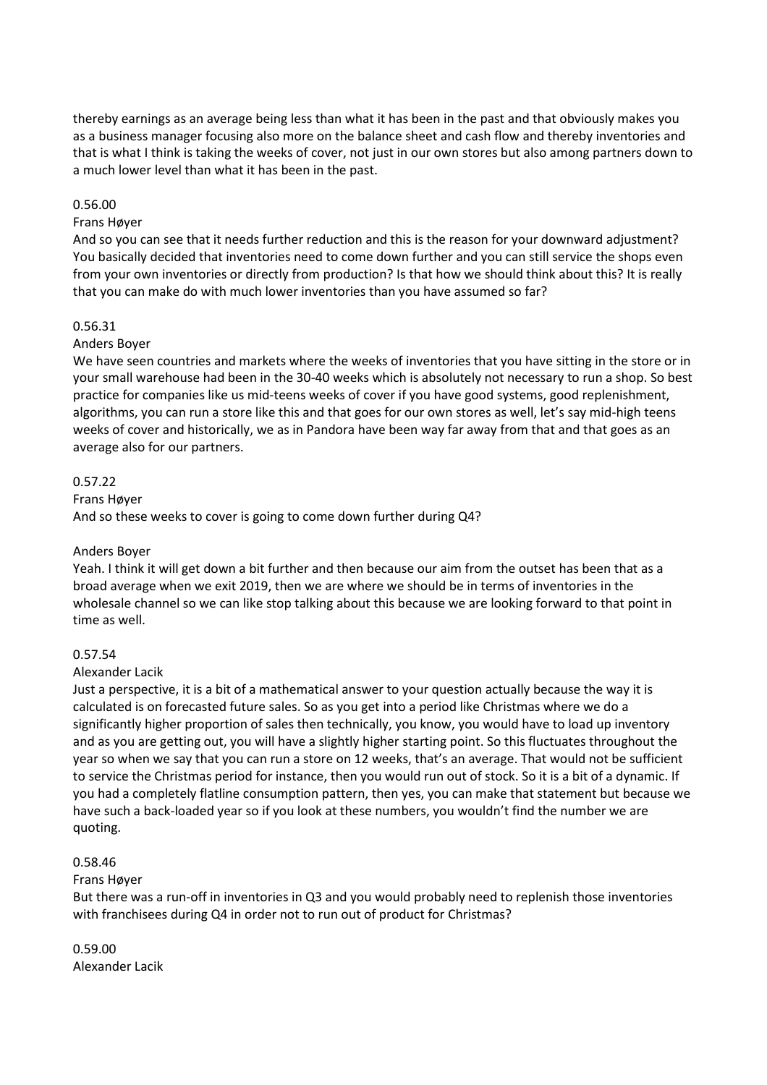thereby earnings as an average being less than what it has been in the past and that obviously makes you as a business manager focusing also more on the balance sheet and cash flow and thereby inventories and that is what I think is taking the weeks of cover, not just in our own stores but also among partners down to a much lower level than what it has been in the past.

## 0.56.00

## Frans Høyer

And so you can see that it needs further reduction and this is the reason for your downward adjustment? You basically decided that inventories need to come down further and you can still service the shops even from your own inventories or directly from production? Is that how we should think about this? It is really that you can make do with much lower inventories than you have assumed so far?

## 0.56.31

# Anders Boyer

We have seen countries and markets where the weeks of inventories that you have sitting in the store or in your small warehouse had been in the 30-40 weeks which is absolutely not necessary to run a shop. So best practice for companies like us mid-teens weeks of cover if you have good systems, good replenishment, algorithms, you can run a store like this and that goes for our own stores as well, let's say mid-high teens weeks of cover and historically, we as in Pandora have been way far away from that and that goes as an average also for our partners.

# 0.57.22

## Frans Høyer

And so these weeks to cover is going to come down further during Q4?

## Anders Boyer

Yeah. I think it will get down a bit further and then because our aim from the outset has been that as a broad average when we exit 2019, then we are where we should be in terms of inventories in the wholesale channel so we can like stop talking about this because we are looking forward to that point in time as well.

## 0.57.54

## Alexander Lacik

Just a perspective, it is a bit of a mathematical answer to your question actually because the way it is calculated is on forecasted future sales. So as you get into a period like Christmas where we do a significantly higher proportion of sales then technically, you know, you would have to load up inventory and as you are getting out, you will have a slightly higher starting point. So this fluctuates throughout the year so when we say that you can run a store on 12 weeks, that's an average. That would not be sufficient to service the Christmas period for instance, then you would run out of stock. So it is a bit of a dynamic. If you had a completely flatline consumption pattern, then yes, you can make that statement but because we have such a back-loaded year so if you look at these numbers, you wouldn't find the number we are quoting.

## 0.58.46

# Frans Høyer

But there was a run-off in inventories in Q3 and you would probably need to replenish those inventories with franchisees during Q4 in order not to run out of product for Christmas?

# 0.59.00 Alexander Lacik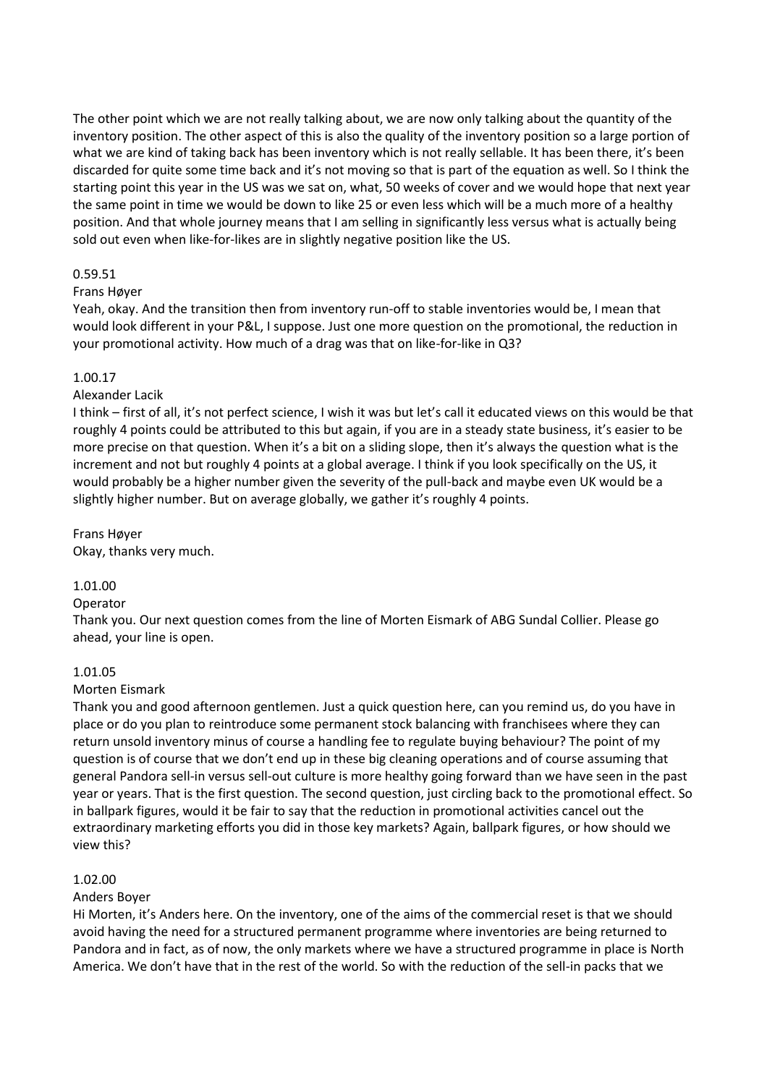The other point which we are not really talking about, we are now only talking about the quantity of the inventory position. The other aspect of this is also the quality of the inventory position so a large portion of what we are kind of taking back has been inventory which is not really sellable. It has been there, it's been discarded for quite some time back and it's not moving so that is part of the equation as well. So I think the starting point this year in the US was we sat on, what, 50 weeks of cover and we would hope that next year the same point in time we would be down to like 25 or even less which will be a much more of a healthy position. And that whole journey means that I am selling in significantly less versus what is actually being sold out even when like-for-likes are in slightly negative position like the US.

## 0.59.51

#### Frans Høyer

Yeah, okay. And the transition then from inventory run-off to stable inventories would be, I mean that would look different in your P&L, I suppose. Just one more question on the promotional, the reduction in your promotional activity. How much of a drag was that on like-for-like in Q3?

#### 1.00.17

#### Alexander Lacik

I think – first of all, it's not perfect science, I wish it was but let's call it educated views on this would be that roughly 4 points could be attributed to this but again, if you are in a steady state business, it's easier to be more precise on that question. When it's a bit on a sliding slope, then it's always the question what is the increment and not but roughly 4 points at a global average. I think if you look specifically on the US, it would probably be a higher number given the severity of the pull-back and maybe even UK would be a slightly higher number. But on average globally, we gather it's roughly 4 points.

Frans Høyer Okay, thanks very much.

# 1.01.00

Operator

Thank you. Our next question comes from the line of Morten Eismark of ABG Sundal Collier. Please go ahead, your line is open.

#### 1.01.05

## Morten Eismark

Thank you and good afternoon gentlemen. Just a quick question here, can you remind us, do you have in place or do you plan to reintroduce some permanent stock balancing with franchisees where they can return unsold inventory minus of course a handling fee to regulate buying behaviour? The point of my question is of course that we don't end up in these big cleaning operations and of course assuming that general Pandora sell-in versus sell-out culture is more healthy going forward than we have seen in the past year or years. That is the first question. The second question, just circling back to the promotional effect. So in ballpark figures, would it be fair to say that the reduction in promotional activities cancel out the extraordinary marketing efforts you did in those key markets? Again, ballpark figures, or how should we view this?

#### 1.02.00

## Anders Boyer

Hi Morten, it's Anders here. On the inventory, one of the aims of the commercial reset is that we should avoid having the need for a structured permanent programme where inventories are being returned to Pandora and in fact, as of now, the only markets where we have a structured programme in place is North America. We don't have that in the rest of the world. So with the reduction of the sell-in packs that we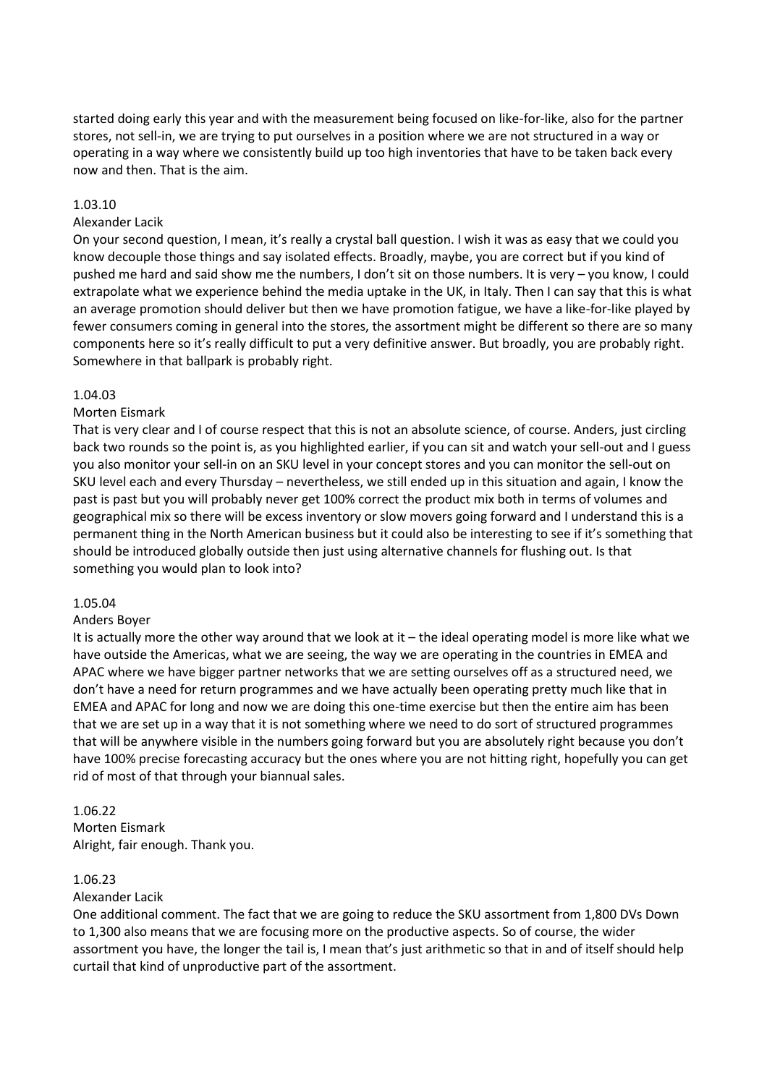started doing early this year and with the measurement being focused on like-for-like, also for the partner stores, not sell-in, we are trying to put ourselves in a position where we are not structured in a way or operating in a way where we consistently build up too high inventories that have to be taken back every now and then. That is the aim.

## 1.03.10

## Alexander Lacik

On your second question, I mean, it's really a crystal ball question. I wish it was as easy that we could you know decouple those things and say isolated effects. Broadly, maybe, you are correct but if you kind of pushed me hard and said show me the numbers, I don't sit on those numbers. It is very – you know, I could extrapolate what we experience behind the media uptake in the UK, in Italy. Then I can say that this is what an average promotion should deliver but then we have promotion fatigue, we have a like-for-like played by fewer consumers coming in general into the stores, the assortment might be different so there are so many components here so it's really difficult to put a very definitive answer. But broadly, you are probably right. Somewhere in that ballpark is probably right.

## 1.04.03

# Morten Eismark

That is very clear and I of course respect that this is not an absolute science, of course. Anders, just circling back two rounds so the point is, as you highlighted earlier, if you can sit and watch your sell-out and I guess you also monitor your sell-in on an SKU level in your concept stores and you can monitor the sell-out on SKU level each and every Thursday – nevertheless, we still ended up in this situation and again, I know the past is past but you will probably never get 100% correct the product mix both in terms of volumes and geographical mix so there will be excess inventory or slow movers going forward and I understand this is a permanent thing in the North American business but it could also be interesting to see if it's something that should be introduced globally outside then just using alternative channels for flushing out. Is that something you would plan to look into?

## 1.05.04

## Anders Boyer

It is actually more the other way around that we look at it – the ideal operating model is more like what we have outside the Americas, what we are seeing, the way we are operating in the countries in EMEA and APAC where we have bigger partner networks that we are setting ourselves off as a structured need, we don't have a need for return programmes and we have actually been operating pretty much like that in EMEA and APAC for long and now we are doing this one-time exercise but then the entire aim has been that we are set up in a way that it is not something where we need to do sort of structured programmes that will be anywhere visible in the numbers going forward but you are absolutely right because you don't have 100% precise forecasting accuracy but the ones where you are not hitting right, hopefully you can get rid of most of that through your biannual sales.

## 1.06.22

Morten Eismark Alright, fair enough. Thank you.

## 1.06.23

## Alexander Lacik

One additional comment. The fact that we are going to reduce the SKU assortment from 1,800 DVs Down to 1,300 also means that we are focusing more on the productive aspects. So of course, the wider assortment you have, the longer the tail is, I mean that's just arithmetic so that in and of itself should help curtail that kind of unproductive part of the assortment.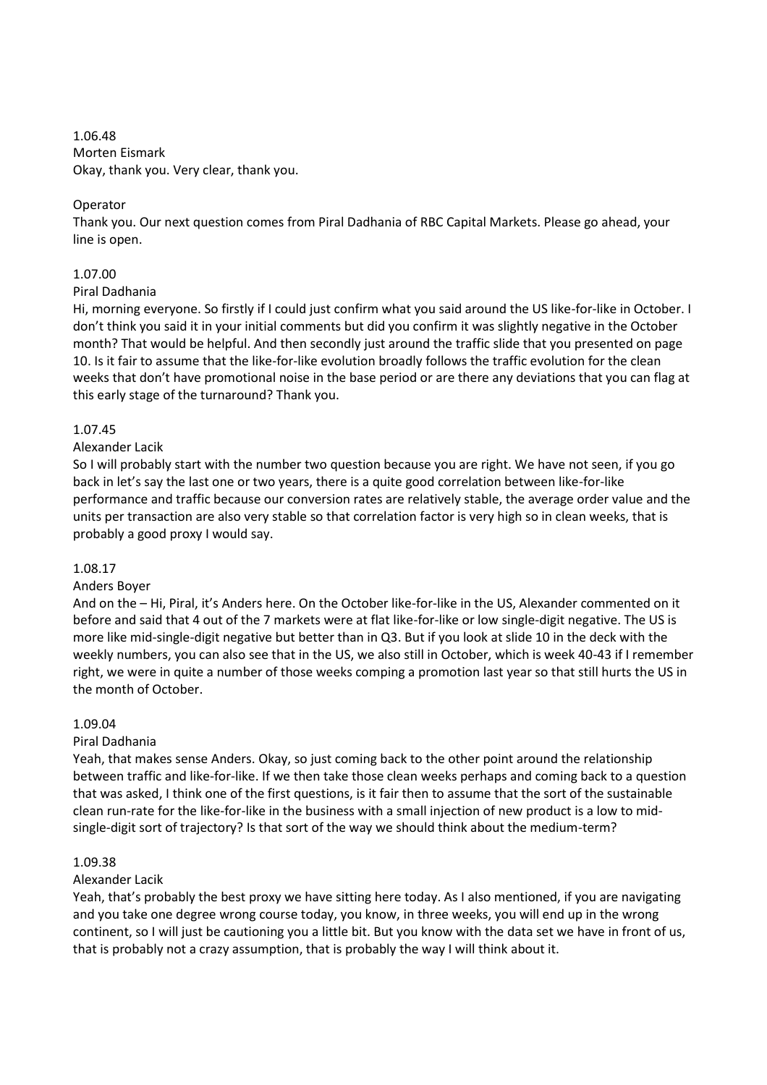1.06.48 Morten Eismark Okay, thank you. Very clear, thank you.

# Operator

Thank you. Our next question comes from Piral Dadhania of RBC Capital Markets. Please go ahead, your line is open.

# 1.07.00

## Piral Dadhania

Hi, morning everyone. So firstly if I could just confirm what you said around the US like-for-like in October. I don't think you said it in your initial comments but did you confirm it was slightly negative in the October month? That would be helpful. And then secondly just around the traffic slide that you presented on page 10. Is it fair to assume that the like-for-like evolution broadly follows the traffic evolution for the clean weeks that don't have promotional noise in the base period or are there any deviations that you can flag at this early stage of the turnaround? Thank you.

# 1.07.45

# Alexander Lacik

So I will probably start with the number two question because you are right. We have not seen, if you go back in let's say the last one or two years, there is a quite good correlation between like-for-like performance and traffic because our conversion rates are relatively stable, the average order value and the units per transaction are also very stable so that correlation factor is very high so in clean weeks, that is probably a good proxy I would say.

## 1.08.17

## Anders Boyer

And on the – Hi, Piral, it's Anders here. On the October like-for-like in the US, Alexander commented on it before and said that 4 out of the 7 markets were at flat like-for-like or low single-digit negative. The US is more like mid-single-digit negative but better than in Q3. But if you look at slide 10 in the deck with the weekly numbers, you can also see that in the US, we also still in October, which is week 40-43 if I remember right, we were in quite a number of those weeks comping a promotion last year so that still hurts the US in the month of October.

## 1.09.04

# Piral Dadhania

Yeah, that makes sense Anders. Okay, so just coming back to the other point around the relationship between traffic and like-for-like. If we then take those clean weeks perhaps and coming back to a question that was asked, I think one of the first questions, is it fair then to assume that the sort of the sustainable clean run-rate for the like-for-like in the business with a small injection of new product is a low to midsingle-digit sort of trajectory? Is that sort of the way we should think about the medium-term?

## 1.09.38

## Alexander Lacik

Yeah, that's probably the best proxy we have sitting here today. As I also mentioned, if you are navigating and you take one degree wrong course today, you know, in three weeks, you will end up in the wrong continent, so I will just be cautioning you a little bit. But you know with the data set we have in front of us, that is probably not a crazy assumption, that is probably the way I will think about it.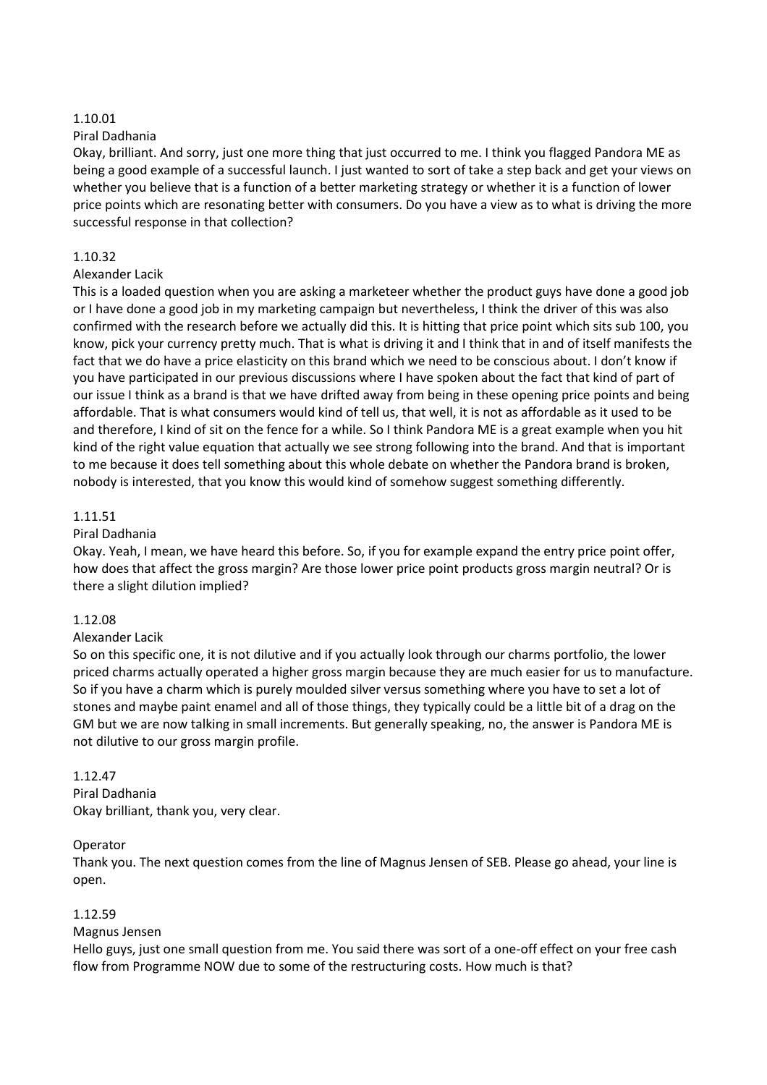## 1.10.01

# Piral Dadhania

Okay, brilliant. And sorry, just one more thing that just occurred to me. I think you flagged Pandora ME as being a good example of a successful launch. I just wanted to sort of take a step back and get your views on whether you believe that is a function of a better marketing strategy or whether it is a function of lower price points which are resonating better with consumers. Do you have a view as to what is driving the more successful response in that collection?

# 1.10.32

# Alexander Lacik

This is a loaded question when you are asking a marketeer whether the product guys have done a good job or I have done a good job in my marketing campaign but nevertheless, I think the driver of this was also confirmed with the research before we actually did this. It is hitting that price point which sits sub 100, you know, pick your currency pretty much. That is what is driving it and I think that in and of itself manifests the fact that we do have a price elasticity on this brand which we need to be conscious about. I don't know if you have participated in our previous discussions where I have spoken about the fact that kind of part of our issue I think as a brand is that we have drifted away from being in these opening price points and being affordable. That is what consumers would kind of tell us, that well, it is not as affordable as it used to be and therefore, I kind of sit on the fence for a while. So I think Pandora ME is a great example when you hit kind of the right value equation that actually we see strong following into the brand. And that is important to me because it does tell something about this whole debate on whether the Pandora brand is broken, nobody is interested, that you know this would kind of somehow suggest something differently.

# 1.11.51

# Piral Dadhania

Okay. Yeah, I mean, we have heard this before. So, if you for example expand the entry price point offer, how does that affect the gross margin? Are those lower price point products gross margin neutral? Or is there a slight dilution implied?

## 1.12.08

# Alexander Lacik

So on this specific one, it is not dilutive and if you actually look through our charms portfolio, the lower priced charms actually operated a higher gross margin because they are much easier for us to manufacture. So if you have a charm which is purely moulded silver versus something where you have to set a lot of stones and maybe paint enamel and all of those things, they typically could be a little bit of a drag on the GM but we are now talking in small increments. But generally speaking, no, the answer is Pandora ME is not dilutive to our gross margin profile.

# 1.12.47 Piral Dadhania

Okay brilliant, thank you, very clear.

# Operator

Thank you. The next question comes from the line of Magnus Jensen of SEB. Please go ahead, your line is open.

# 1.12.59

## Magnus Jensen

Hello guys, just one small question from me. You said there was sort of a one-off effect on your free cash flow from Programme NOW due to some of the restructuring costs. How much is that?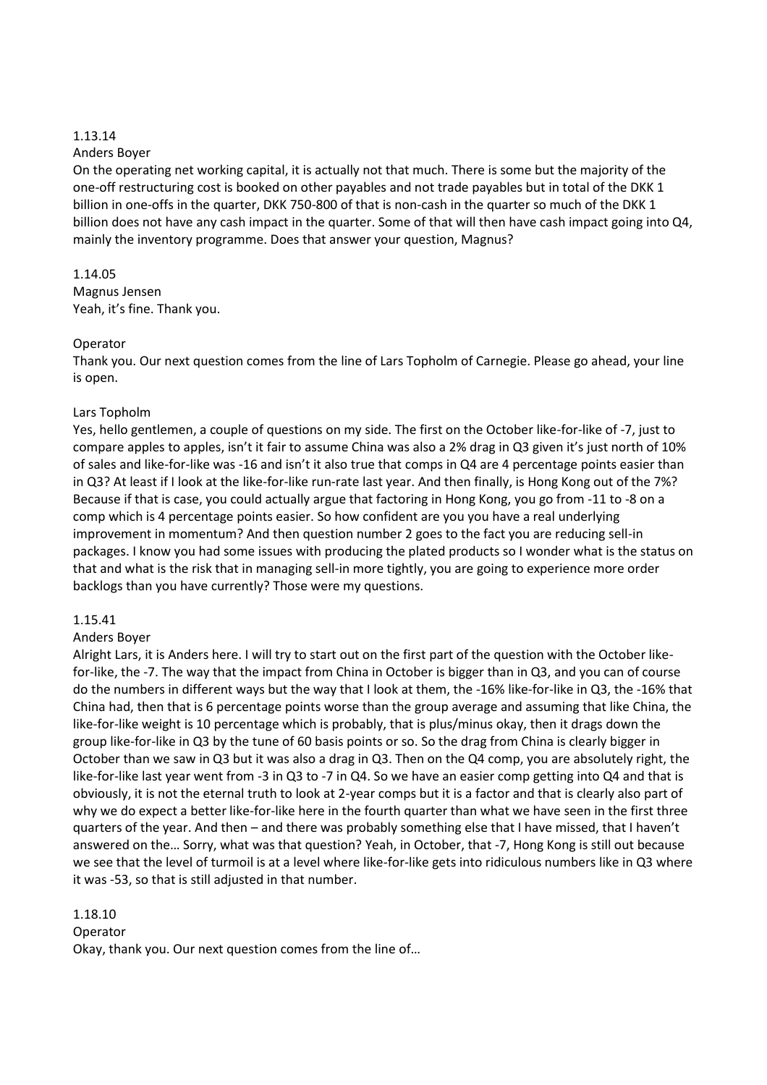## 1.13.14

## Anders Boyer

On the operating net working capital, it is actually not that much. There is some but the majority of the one-off restructuring cost is booked on other payables and not trade payables but in total of the DKK 1 billion in one-offs in the quarter, DKK 750-800 of that is non-cash in the quarter so much of the DKK 1 billion does not have any cash impact in the quarter. Some of that will then have cash impact going into Q4, mainly the inventory programme. Does that answer your question, Magnus?

# 1.14.05 Magnus Jensen Yeah, it's fine. Thank you.

## Operator

Thank you. Our next question comes from the line of Lars Topholm of Carnegie. Please go ahead, your line is open.

# Lars Topholm

Yes, hello gentlemen, a couple of questions on my side. The first on the October like-for-like of -7, just to compare apples to apples, isn't it fair to assume China was also a 2% drag in Q3 given it's just north of 10% of sales and like-for-like was -16 and isn't it also true that comps in Q4 are 4 percentage points easier than in Q3? At least if I look at the like-for-like run-rate last year. And then finally, is Hong Kong out of the 7%? Because if that is case, you could actually argue that factoring in Hong Kong, you go from -11 to -8 on a comp which is 4 percentage points easier. So how confident are you you have a real underlying improvement in momentum? And then question number 2 goes to the fact you are reducing sell-in packages. I know you had some issues with producing the plated products so I wonder what is the status on that and what is the risk that in managing sell-in more tightly, you are going to experience more order backlogs than you have currently? Those were my questions.

## 1.15.41

## Anders Boyer

Alright Lars, it is Anders here. I will try to start out on the first part of the question with the October likefor-like, the -7. The way that the impact from China in October is bigger than in Q3, and you can of course do the numbers in different ways but the way that I look at them, the -16% like-for-like in Q3, the -16% that China had, then that is 6 percentage points worse than the group average and assuming that like China, the like-for-like weight is 10 percentage which is probably, that is plus/minus okay, then it drags down the group like-for-like in Q3 by the tune of 60 basis points or so. So the drag from China is clearly bigger in October than we saw in Q3 but it was also a drag in Q3. Then on the Q4 comp, you are absolutely right, the like-for-like last year went from -3 in Q3 to -7 in Q4. So we have an easier comp getting into Q4 and that is obviously, it is not the eternal truth to look at 2-year comps but it is a factor and that is clearly also part of why we do expect a better like-for-like here in the fourth quarter than what we have seen in the first three quarters of the year. And then – and there was probably something else that I have missed, that I haven't answered on the… Sorry, what was that question? Yeah, in October, that -7, Hong Kong is still out because we see that the level of turmoil is at a level where like-for-like gets into ridiculous numbers like in Q3 where it was -53, so that is still adjusted in that number.

1.18.10

Operator Okay, thank you. Our next question comes from the line of…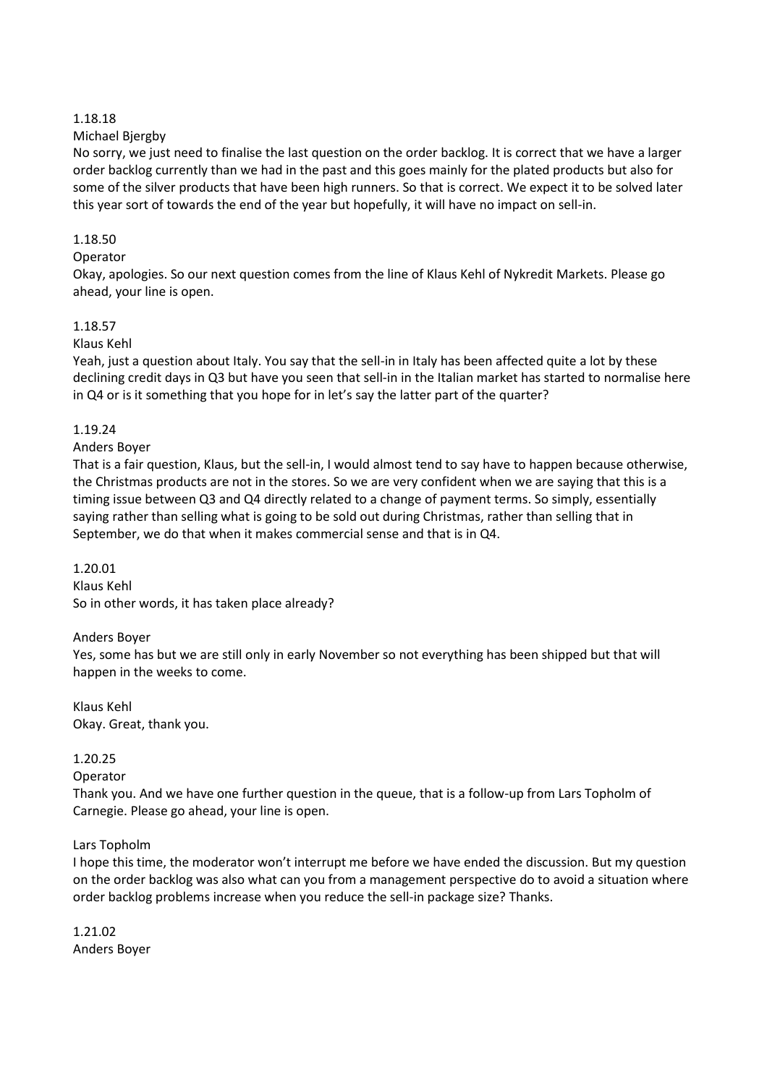## 1.18.18

# Michael Bjergby

No sorry, we just need to finalise the last question on the order backlog. It is correct that we have a larger order backlog currently than we had in the past and this goes mainly for the plated products but also for some of the silver products that have been high runners. So that is correct. We expect it to be solved later this year sort of towards the end of the year but hopefully, it will have no impact on sell-in.

# 1.18.50

# Operator

Okay, apologies. So our next question comes from the line of Klaus Kehl of Nykredit Markets. Please go ahead, your line is open.

# 1.18.57

# Klaus Kehl

Yeah, just a question about Italy. You say that the sell-in in Italy has been affected quite a lot by these declining credit days in Q3 but have you seen that sell-in in the Italian market has started to normalise here in Q4 or is it something that you hope for in let's say the latter part of the quarter?

# 1.19.24

# Anders Boyer

That is a fair question, Klaus, but the sell-in, I would almost tend to say have to happen because otherwise, the Christmas products are not in the stores. So we are very confident when we are saying that this is a timing issue between Q3 and Q4 directly related to a change of payment terms. So simply, essentially saying rather than selling what is going to be sold out during Christmas, rather than selling that in September, we do that when it makes commercial sense and that is in Q4.

#### 1.20.01 Klaus Kehl

So in other words, it has taken place already?

## Anders Boyer

Yes, some has but we are still only in early November so not everything has been shipped but that will happen in the weeks to come.

Klaus Kehl Okay. Great, thank you.

## 1.20.25

## Operator

Thank you. And we have one further question in the queue, that is a follow-up from Lars Topholm of Carnegie. Please go ahead, your line is open.

# Lars Topholm

I hope this time, the moderator won't interrupt me before we have ended the discussion. But my question on the order backlog was also what can you from a management perspective do to avoid a situation where order backlog problems increase when you reduce the sell-in package size? Thanks.

1.21.02 Anders Boyer